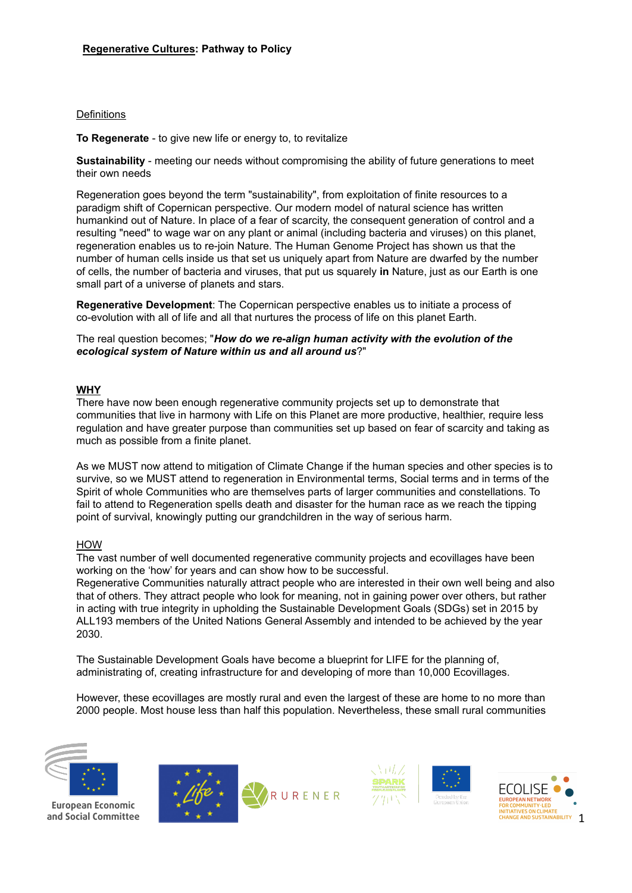### **Definitions**

**To Regenerate** - to give new life or energy to, to revitalize

**Sustainability** - meeting our needs without compromising the ability of future generations to meet their own needs

Regeneration goes beyond the term "sustainability", from exploitation of finite resources to a paradigm shift of Copernican perspective. Our modern model of natural science has written humankind out of Nature. In place of a fear of scarcity, the consequent generation of control and a resulting "need" to wage war on any plant or animal (including bacteria and viruses) on this planet, regeneration enables us to re-join Nature. The Human Genome Project has shown us that the number of human cells inside us that set us uniquely apart from Nature are dwarfed by the number of cells, the number of bacteria and viruses, that put us squarely **in** Nature, just as our Earth is one small part of a universe of planets and stars.

**Regenerative Development**: The Copernican perspective enables us to initiate a process of co-evolution with all of life and all that nurtures the process of life on this planet Earth.

The real question becomes; "*How do we re-align human activity with the evolution of the ecological system of Nature within us and all around us*?"

### **WHY**

There have now been enough regenerative community projects set up to demonstrate that communities that live in harmony with Life on this Planet are more productive, healthier, require less regulation and have greater purpose than communities set up based on fear of scarcity and taking as much as possible from a finite planet.

As we MUST now attend to mitigation of Climate Change if the human species and other species is to survive, so we MUST attend to regeneration in Environmental terms, Social terms and in terms of the Spirit of whole Communities who are themselves parts of larger communities and constellations. To fail to attend to Regeneration spells death and disaster for the human race as we reach the tipping point of survival, knowingly putting our grandchildren in the way of serious harm.

### HOW

The vast number of well documented regenerative community projects and ecovillages have been working on the 'how' for years and can show how to be successful.

Regenerative Communities naturally attract people who are interested in their own well being and also that of others. They attract people who look for meaning, not in gaining power over others, but rather in acting with true integrity in upholding the Sustainable Development Goals (SDGs) set in 2015 by ALL193 members of the United Nations General Assembly and intended to be achieved by the year 2030.

The Sustainable Development Goals have become a blueprint for LIFE for the planning of, administrating of, creating infrastructure for and developing of more than 10,000 Ecovillages.

However, these ecovillages are mostly rural and even the largest of these are home to no more than 2000 people. Most house less than half this population. Nevertheless, these small rural communities



European Economic and Social Committee





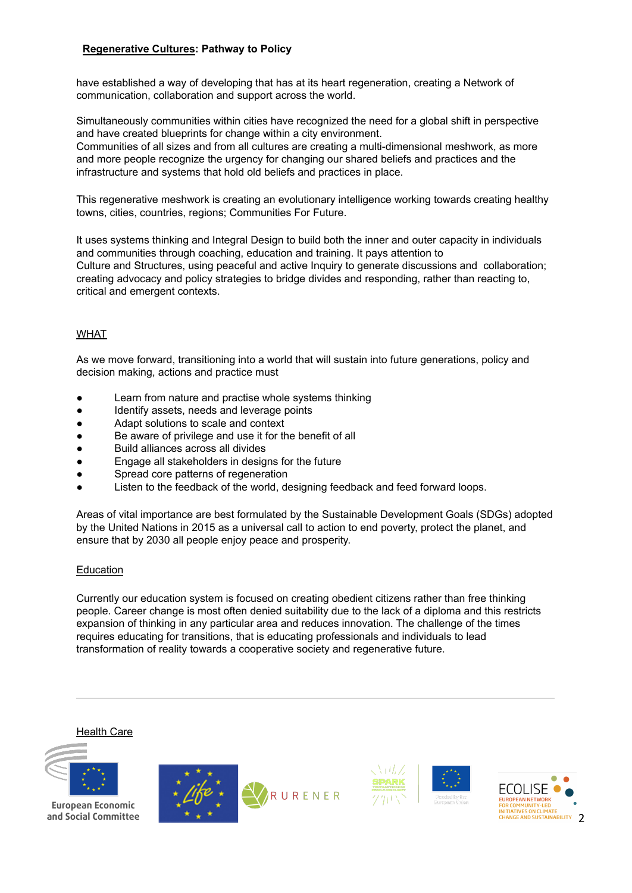have established a way of developing that has at its heart regeneration, creating a Network of communication, collaboration and support across the world.

Simultaneously communities within cities have recognized the need for a global shift in perspective and have created blueprints for change within a city environment.

Communities of all sizes and from all cultures are creating a multi-dimensional meshwork, as more and more people recognize the urgency for changing our shared beliefs and practices and the infrastructure and systems that hold old beliefs and practices in place.

This regenerative meshwork is creating an evolutionary intelligence working towards creating healthy towns, cities, countries, regions; Communities For Future.

It uses systems thinking and Integral Design to build both the inner and outer capacity in individuals and communities through coaching, education and training. It pays attention to [Culture](https://integralcity.com/intelligences/cultural.html) and [Structures](https://integralcity.com/intelligences/structural.html), using peaceful and active [Inquiry](https://integralcity.com/intelligences/inquiry.html) to generate discussions and collaboration; creating advocacy and policy strategies to bridge divides and responding, rather than reacting to, critical and emergent contexts.

# WHAT

As we move forward, transitioning into a world that will sustain into future generations, policy and decision making, actions and practice must

- Learn from nature and practise whole systems thinking
- Identify assets, needs and leverage points
- Adapt solutions to scale and context
- Be aware of privilege and use it for the benefit of all
- Build alliances across all divides
- Engage all stakeholders in designs for the future
- Spread core patterns of regeneration
- Listen to the feedback of the world, designing feedback and feed forward loops.

Areas of vital importance are best formulated by the Sustainable Development Goals (SDGs) adopted by the United Nations in 2015 as a universal call to action to end poverty, protect the planet, and ensure that by 2030 all people enjoy peace and prosperity.

### **Education**

Currently our education system is focused on creating obedient citizens rather than free thinking people. Career change is most often denied suitability due to the lack of a diploma and this restricts expansion of thinking in any particular area and reduces innovation. The challenge of the times requires educating for transitions, that is educating professionals and individuals to lead transformation of reality towards a cooperative society and regenerative future.

### **Health Care**



European Economic and Social Committee





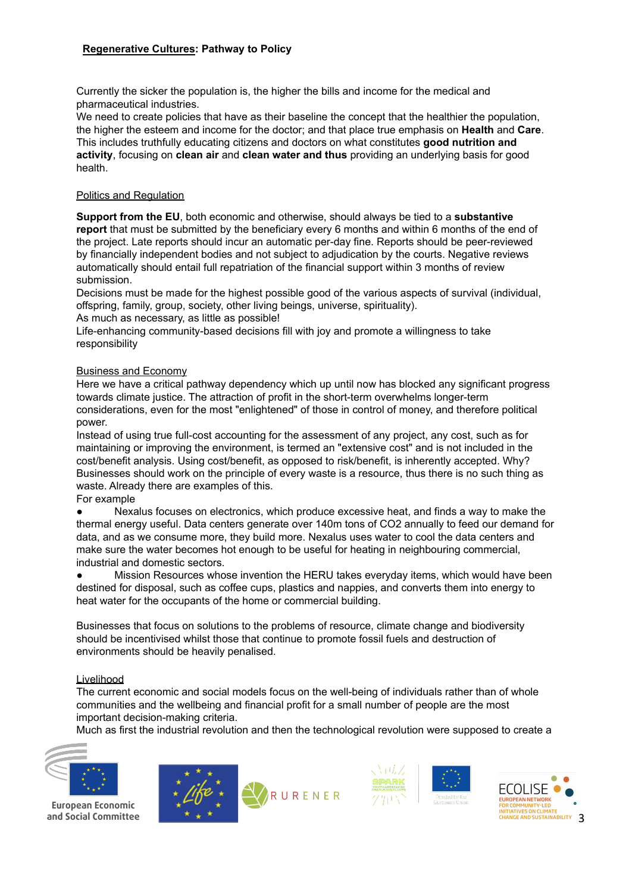Currently the sicker the population is, the higher the bills and income for the medical and pharmaceutical industries.

We need to create policies that have as their baseline the concept that the healthier the population, the higher the esteem and income for the doctor; and that place true emphasis on **Health** and **Care**. This includes truthfully educating citizens and doctors on what constitutes **good nutrition and activity**, focusing on **clean air** and **clean water and thus** providing an underlying basis for good health.

### Politics and Regulation

**Support from the EU**, both economic and otherwise, should always be tied to a **substantive report** that must be submitted by the beneficiary every 6 months and within 6 months of the end of the project. Late reports should incur an automatic per-day fine. Reports should be peer-reviewed by financially independent bodies and not subject to adjudication by the courts. Negative reviews automatically should entail full repatriation of the financial support within 3 months of review submission.

Decisions must be made for the highest possible good of the various aspects of survival (individual, offspring, family, group, society, other living beings, universe, spirituality).

As much as necessary, as little as possible!

Life-enhancing community-based decisions fill with joy and promote a willingness to take responsibility

### Business and Economy

Here we have a critical pathway dependency which up until now has blocked any significant progress towards climate justice. The attraction of profit in the short-term overwhelms longer-term considerations, even for the most "enlightened" of those in control of money, and therefore political power.

Instead of using true full-cost accounting for the assessment of any project, any cost, such as for maintaining or improving the environment, is termed an "extensive cost" and is not included in the cost/benefit analysis. Using cost/benefit, as opposed to risk/benefit, is inherently accepted. Why? Businesses should work on the principle of every waste is a resource, thus there is no such thing as waste. Already there are examples of this.

### For example

Nexalus focuses on electronics, which produce excessive heat, and finds a way to make the thermal energy useful. Data centers generate over 140m tons of CO2 annually to feed our demand for data, and as we consume more, they build more. Nexalus uses water to cool the data centers and make sure the water becomes hot enough to be useful for heating in neighbouring commercial, industrial and domestic sectors.

Mission Resources whose invention the HERU takes everyday items, which would have been destined for disposal, such as coffee cups, plastics and nappies, and converts them into energy to heat water for the occupants of the home or commercial building.

Businesses that focus on solutions to the problems of resource, climate change and biodiversity should be incentivised whilst those that continue to promote fossil fuels and destruction of environments should be heavily penalised.

#### **Livelihood**

The current economic and social models focus on the well-being of individuals rather than of whole communities and the wellbeing and financial profit for a small number of people are the most important decision-making criteria.

Much as first the industrial revolution and then the technological revolution were supposed to create a



**European Economic** and Social Committee





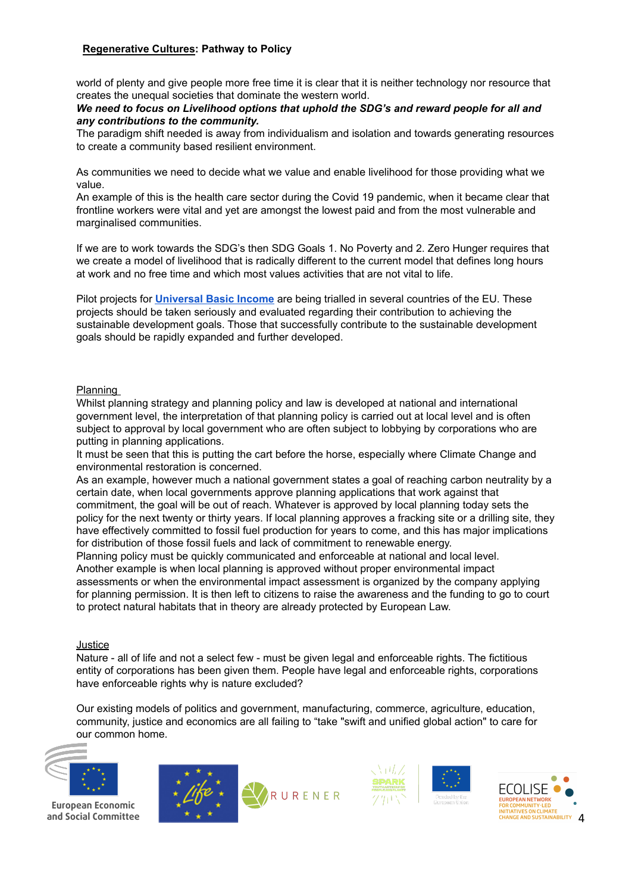world of plenty and give people more free time it is clear that it is neither technology nor resource that creates the unequal societies that dominate the western world.

### *We need to focus on Livelihood options that uphold the SDG's and reward people for all and any contributions to the community.*

The paradigm shift needed is away from individualism and isolation and towards generating resources to create a community based resilient environment.

As communities we need to decide what we value and enable livelihood for those providing what we value.

An example of this is the health care sector during the Covid 19 pandemic, when it became clear that frontline workers were vital and yet are amongst the lowest paid and from the most vulnerable and marginalised communities.

If we are to work towards the SDG's then SDG Goals 1. No Poverty and 2. Zero Hunger requires that we create a model of livelihood that is radically different to the current model that defines long hours at work and no free time and which most values activities that are not vital to life.

Pilot projects for **[Universal](https://docs.google.com/document/d/1KLBVzsCMG4JkedKFEjedbzvFOLCiyPs2iVsLhTHdfLQ/edit) Basic Income** are being trialled in several countries of the EU. These projects should be taken seriously and evaluated regarding their contribution to achieving the sustainable development goals. Those that successfully contribute to the sustainable development goals should be rapidly expanded and further developed.

### Planning

Whilst planning strategy and planning policy and law is developed at national and international government level, the interpretation of that planning policy is carried out at local level and is often subject to approval by local government who are often subject to lobbying by corporations who are putting in planning applications.

It must be seen that this is putting the cart before the horse, especially where Climate Change and environmental restoration is concerned.

As an example, however much a national government states a goal of reaching carbon neutrality by a certain date, when local governments approve planning applications that work against that commitment, the goal will be out of reach. Whatever is approved by local planning today sets the policy for the next twenty or thirty years. If local planning approves a fracking site or a drilling site, they have effectively committed to fossil fuel production for years to come, and this has major implications for distribution of those fossil fuels and lack of commitment to renewable energy.

Planning policy must be quickly communicated and enforceable at national and local level. Another example is when local planning is approved without proper environmental impact assessments or when the environmental impact assessment is organized by the company applying for planning permission. It is then left to citizens to raise the awareness and the funding to go to court to protect natural habitats that in theory are already protected by European Law.

#### Justice

Nature - all of life and not a select few - must be given legal and enforceable rights. The fictitious entity of corporations has been given them. People have legal and enforceable rights, corporations have enforceable rights why is nature excluded?

Our existing models of politics and government, manufacturing, commerce, agriculture, education, community, justice and economics are all failing to "take "swift and unified global action" to care for our common home.



European Economic and Social Committee







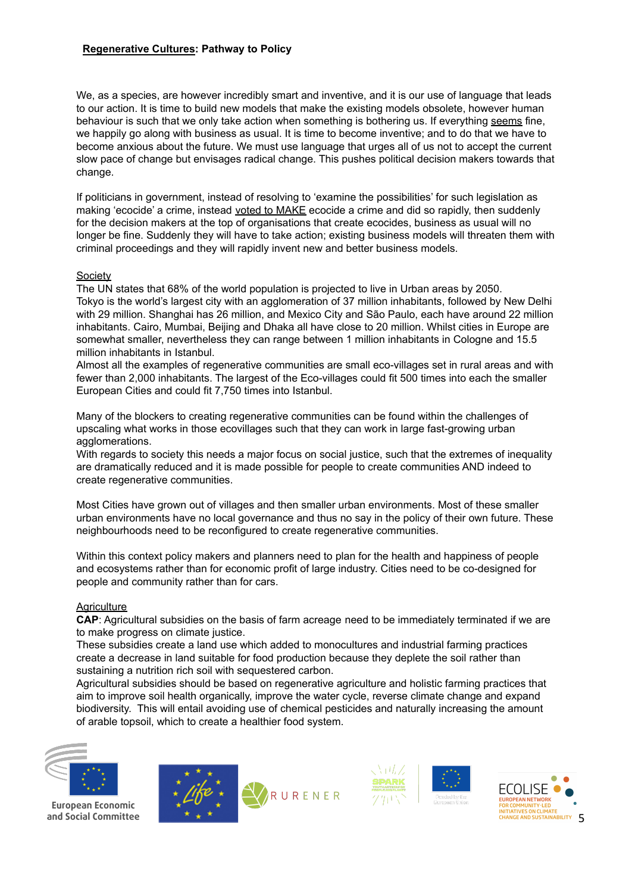We, as a species, are however incredibly smart and inventive, and it is our use of language that leads to our action. It is time to build new models that make the existing models obsolete, however human behaviour is such that we only take action when something is bothering us. If everything seems fine, we happily go along with business as usual. It is time to become inventive; and to do that we have to become anxious about the future. We must use language that urges all of us not to accept the current slow pace of change but envisages radical change. This pushes political decision makers towards that change.

If politicians in government, instead of resolving to 'examine the possibilities' for such legislation as making 'ecocide' a crime, instead voted to MAKE ecocide a crime and did so rapidly, then suddenly for the decision makers at the top of organisations that create ecocides, business as usual will no longer be fine. Suddenly they will have to take action; existing business models will threaten them with criminal proceedings and they will rapidly invent new and better business models.

### **Society**

The UN states that 68% of the world population is projected to live in Urban areas by 2050. Tokyo is the world's largest city with an agglomeration of 37 million inhabitants, followed by New Delhi with 29 million. Shanghai has 26 million, and Mexico City and São Paulo, each have around 22 million inhabitants. Cairo, Mumbai, Beijing and Dhaka all have close to 20 million. Whilst cities in Europe are somewhat smaller, nevertheless they can range between 1 million inhabitants in Cologne and 15.5 million inhabitants in Istanbul.

Almost all the examples of regenerative communities are small eco-villages set in rural areas and with fewer than 2,000 inhabitants. The largest of the Eco-villages could fit 500 times into each the smaller European Cities and could fit 7,750 times into Istanbul.

Many of the blockers to creating regenerative communities can be found within the challenges of upscaling what works in those ecovillages such that they can work in large fast-growing urban agglomerations.

With regards to society this needs a major focus on social justice, such that the extremes of inequality are dramatically reduced and it is made possible for people to create communities AND indeed to create regenerative communities.

Most Cities have grown out of villages and then smaller urban environments. Most of these smaller urban environments have no local governance and thus no say in the policy of their own future. These neighbourhoods need to be reconfigured to create regenerative communities.

Within this context policy makers and planners need to plan for the health and happiness of people and ecosystems rather than for economic profit of large industry. Cities need to be co-designed for people and community rather than for cars.

#### **Agriculture**

**CAP**: Agricultural subsidies on the basis of farm acreage need to be immediately terminated if we are to make progress on climate justice.

These subsidies create a land use which added to monocultures and industrial farming practices create a decrease in land suitable for food production because they deplete the soil rather than sustaining a nutrition rich soil with sequestered carbon.

Agricultural subsidies should be based on regenerative agriculture and holistic farming practices that aim to improve soil health organically, improve the water cycle, reverse climate change and expand biodiversity. This will entail avoiding use of chemical pesticides and naturally increasing the amount of arable topsoil, which to create a healthier food system.



European Economic and Social Committee